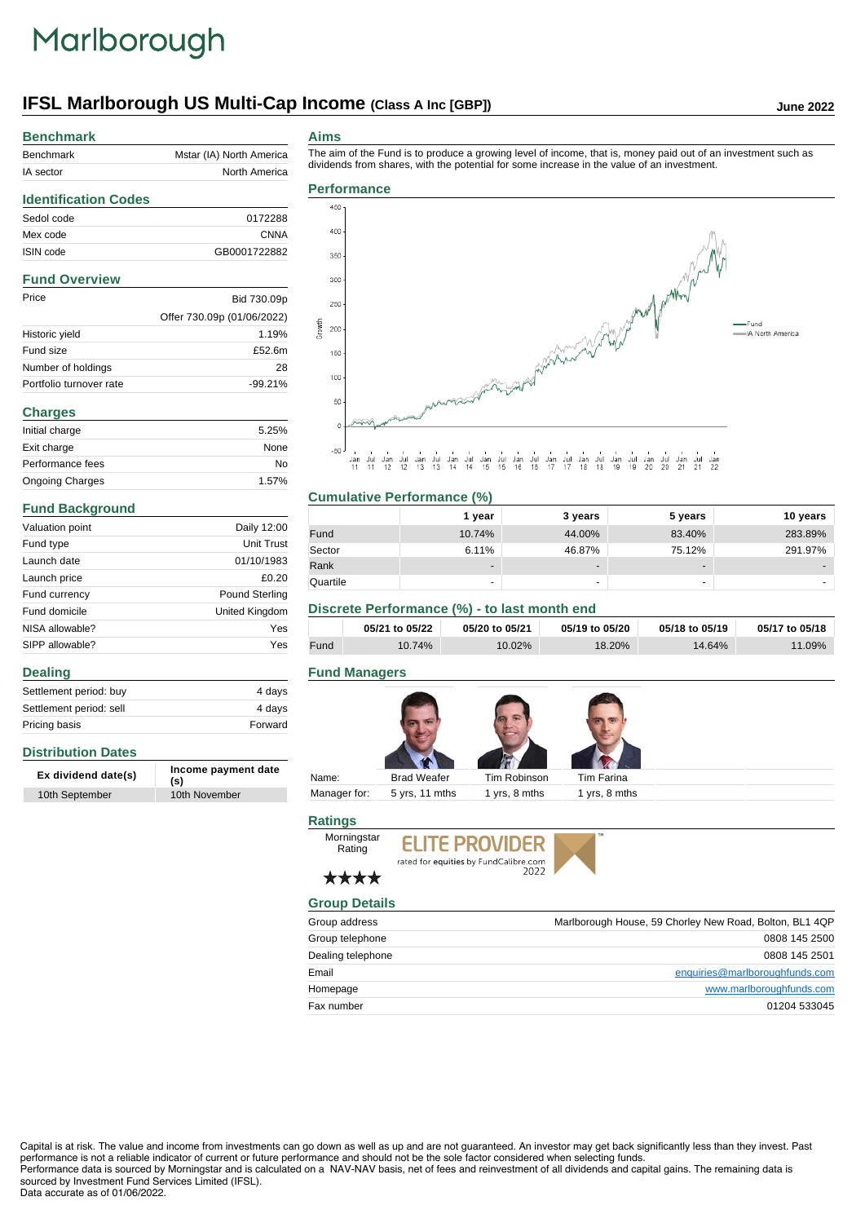# Marlborough

# **IFSL Marlborough US Multi-Cap Income** (Class A Inc [GBP]) June 2022

| <b>Benchmark</b>            |                            |
|-----------------------------|----------------------------|
| <b>Benchmark</b>            | Mstar (IA) North America   |
| IA sector                   | North America              |
| <b>Identification Codes</b> |                            |
| Sedol code                  | 0172288                    |
| Mex code                    | <b>CNNA</b>                |
| ISIN code                   | GB0001722882               |
| <b>Fund Overview</b>        |                            |
| Price                       | Bid 730.09p                |
|                             | Offer 730.09p (01/06/2022) |
| Historic yield              | 1.19%                      |
| Fund size                   | £52.6m                     |
| Number of holdings          | 28                         |
| Portfolio turnover rate     | $-99.21%$                  |
| <b>Charges</b>              |                            |
| Initial charge              | 5.25%                      |
| Exit charge                 | None                       |
| Performance fees            | No                         |

Ongoing Charges 1.57%

Valuation point Daily 12:00 Fund type Unit Trust Launch date 01/10/1983 Launch price  $£0.20$ Fund currency **Pound Sterling** Fund domicile **United Kingdom** NISA allowable? Yes SIPP allowable? Yes

Settlement period: buy 4 days Settlement period: sell 4 days Pricing basis **Forward** 

**Ex dividend date(s) Income payment date (s)**

10th September 10th November

### **Aims**

irowth

The aim of the Fund is to produce a growing level of income, that is, money paid out of an investment such as dividends from shares, with the potential for some increase in the value of an investment.

# **Performance** 450 400



#### uar<br>11 ज्ञा<br>१९  $^{941}_{12}$

| <b>Cumulative Performance (%)</b> |                          |                          |                          |          |
|-----------------------------------|--------------------------|--------------------------|--------------------------|----------|
|                                   | 1 year                   | 3 years                  | 5 years                  | 10 years |
| Fund                              | 10.74%                   | 44.00%                   | 83.40%                   | 283.89%  |
| Sector                            | 6.11%                    | 46.87%                   | 75.12%                   | 291.97%  |
| Rank                              | $\overline{\phantom{a}}$ | $\overline{\phantom{0}}$ | $\overline{\phantom{a}}$ |          |
| Quartile                          |                          | -                        | -                        |          |

# **Discrete Performance (%) - to last month end**

|      | 05/21 to 05/22 | 05/20 to 05/21 | 05/19 to 05/20 | 05/18 to 05/19 | 05/17 to 05/18 |
|------|----------------|----------------|----------------|----------------|----------------|
| Fund | $10.74\%$      | $10.02\%$      | 18.20%         | 14.64%         | $11.09\%$      |

### **Fund Managers**



# **Ratings**





# ★★★★

Morningstar Rating

| <b>Group Details</b> |                                                         |  |
|----------------------|---------------------------------------------------------|--|
| Group address        | Marlborough House, 59 Chorley New Road, Bolton, BL1 4QP |  |
| Group telephone      | 0808 145 2500                                           |  |
| Dealing telephone    | 0808 145 2501                                           |  |
| Email                | enquiries@marlboroughfunds.com                          |  |
| Homepage             | www.marlboroughfunds.com                                |  |
| Fax number           | 01204 533045                                            |  |

Capital is at risk. The value and income from investments can go down as well as up and are not guaranteed. An investor may get back significantly less than they invest. Past performance is not a reliable indicator of current or future performance and should not be the sole factor considered when selecting funds. Performance data is sourced by Morningstar and is calculated on a NAV-NAV basis, net of fees and reinvestment of all dividends and capital gains. The remaining data is sourced by Investment Fund Services Limited (IFSL).

#### Data accurate as of 01/06/2022.

**Distribution Dates**

**Dealing**

**Fund Background**